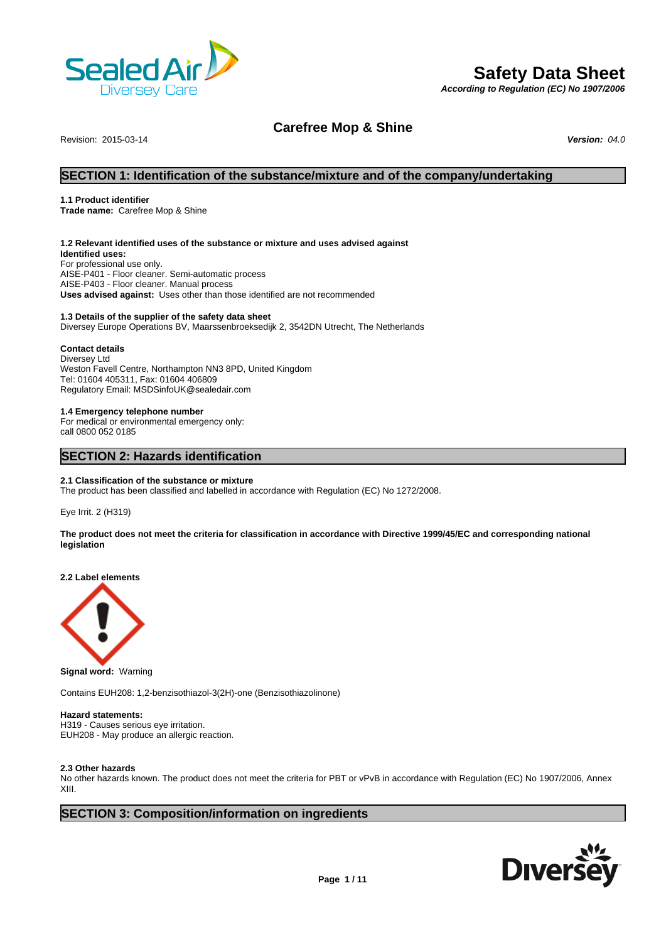

# **Safety Data Sheet**

*According to Regulation (EC) No 1907/2006*

# **Carefree Mop & Shine**

Revision: 2015-03-14 *Version: 04.0*

# **SECTION 1: Identification of the substance/mixture and of the company/undertaking**

#### **1.1 Product identifier**

**Trade name:** Carefree Mop & Shine

#### **1.2 Relevant identified uses of the substance or mixture and uses advised against**

**Identified uses:** For professional use only. AISE-P401 - Floor cleaner. Semi-automatic process AISE-P403 - Floor cleaner. Manual process **Uses advised against:** Uses other than those identified are not recommended

### **1.3 Details of the supplier of the safety data sheet**

Diversey Europe Operations BV, Maarssenbroeksedijk 2, 3542DN Utrecht, The Netherlands

#### **Contact details**

Diversey Ltd Weston Favell Centre, Northampton NN3 8PD, United Kingdom Tel: 01604 405311, Fax: 01604 406809 Regulatory Email: MSDSinfoUK@sealedair.com

#### **1.4 Emergency telephone number**

For medical or environmental emergency only: call 0800 052 0185

# **SECTION 2: Hazards identification**

#### **2.1 Classification of the substance or mixture**

The product has been classified and labelled in accordance with Regulation (EC) No 1272/2008.

Eye Irrit. 2 (H319)

**The product does not meet the criteria for classification in accordance with Directive 1999/45/EC and corresponding national legislation**

**2.2 Label elements**



**Signal word:** Warning

Contains EUH208: 1,2-benzisothiazol-3(2H)-one (Benzisothiazolinone)

#### **Hazard statements:**

H319 - Causes serious eye irritation. EUH208 - May produce an allergic reaction.

#### **2.3 Other hazards**

No other hazards known. The product does not meet the criteria for PBT or vPvB in accordance with Regulation (EC) No 1907/2006, Annex XIII.

# **SECTION 3: Composition/information on ingredients**

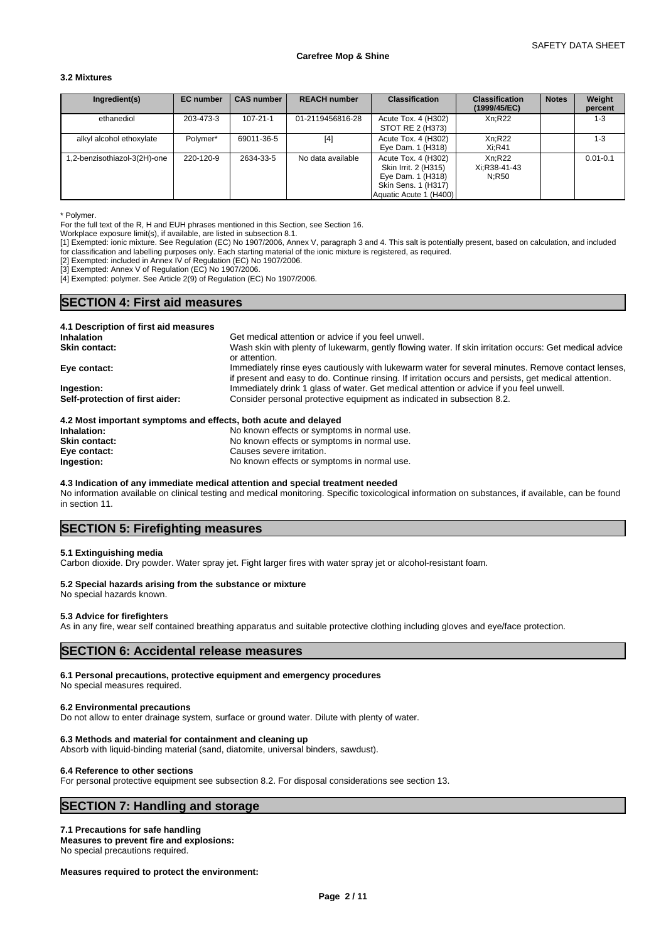### **3.2 Mixtures**

| Ingredient(s)               | <b>EC</b> number | <b>CAS number</b> | <b>REACH number</b> | <b>Classification</b>                                                                                             | <b>Classification</b><br>(1999/45/EC) | <b>Notes</b> | Weight<br>percent |
|-----------------------------|------------------|-------------------|---------------------|-------------------------------------------------------------------------------------------------------------------|---------------------------------------|--------------|-------------------|
| ethanediol                  | 203-473-3        | 107-21-1          | 01-2119456816-28    | Acute Tox. 4 (H302)<br>STOT RE 2 (H373)                                                                           | Xn:R22                                |              | $1 - 3$           |
| alkyl alcohol ethoxylate    | Polymer*         | 69011-36-5        | $[4]$               | Acute Tox. 4 (H302)<br>Eye Dam. 1 (H318)                                                                          | Xn:R22<br>$Xi:$ R41                   |              | $1 - 3$           |
| .2-benzisothiazol-3(2H)-one | 220-120-9        | 2634-33-5         | No data available   | Acute Tox. 4 (H302)<br>Skin Irrit. 2 (H315)<br>Eye Dam. 1 (H318)<br>Skin Sens. 1 (H317)<br>Aquatic Acute 1 (H400) | Xn:R22<br>Xi:R38-41-43<br>N:R50       |              | $0.01 - 0.1$      |

\* Polymer.

For the full text of the R, H and EUH phrases mentioned in this Section, see Section 16.

Workplace exposure limit(s), if available, are listed in subsection 8.1.

[1] Exempted: ionic mixture. See Regulation (EC) No 1907/2006, Annex V, paragraph 3 and 4. This salt is potentially present, based on calculation, and included for classification and labelling purposes only. Each starting material of the ionic mixture is registered, as required.

[2] Exempted: included in Annex IV of Regulation (EC) No 1907/2006.

[3] Exempted: Annex V of Regulation (EC) No 1907/2006.

[4] Exempted: polymer. See Article 2(9) of Regulation (EC) No 1907/2006.

# **SECTION 4: First aid measures**

| 4.1 Description of first aid measures |                                                                                                                                                                                                             |
|---------------------------------------|-------------------------------------------------------------------------------------------------------------------------------------------------------------------------------------------------------------|
| <b>Inhalation</b>                     | Get medical attention or advice if you feel unwell.                                                                                                                                                         |
| <b>Skin contact:</b>                  | Wash skin with plenty of lukewarm, gently flowing water. If skin irritation occurs: Get medical advice<br>or attention.                                                                                     |
| Eye contact:                          | Immediately rinse eyes cautiously with lukewarm water for several minutes. Remove contact lenses,<br>if present and easy to do. Continue rinsing. If irritation occurs and persists, get medical attention. |
| Ingestion:                            | Immediately drink 1 glass of water. Get medical attention or advice if you feel unwell.                                                                                                                     |
| Self-protection of first aider:       | Consider personal protective equipment as indicated in subsection 8.2.                                                                                                                                      |

| 4.2 Most important symptoms and effects, both acute and delayed |                                             |
|-----------------------------------------------------------------|---------------------------------------------|
| Inhalation:                                                     | No known effects or symptoms in normal use. |
| <b>Skin contact:</b>                                            | No known effects or symptoms in normal use. |
| Eye contact:                                                    | Causes severe irritation.                   |
| Ingestion:                                                      | No known effects or symptoms in normal use. |

#### **4.3 Indication of any immediate medical attention and special treatment needed**

No information available on clinical testing and medical monitoring. Specific toxicological information on substances, if available, can be found in section 11.

# **SECTION 5: Firefighting measures**

#### **5.1 Extinguishing media**

Carbon dioxide. Dry powder. Water spray jet. Fight larger fires with water spray jet or alcohol-resistant foam.

#### **5.2 Special hazards arising from the substance or mixture**

No special hazards known.

#### **5.3 Advice for firefighters**

As in any fire, wear self contained breathing apparatus and suitable protective clothing including gloves and eye/face protection.

## **SECTION 6: Accidental release measures**

#### **6.1 Personal precautions, protective equipment and emergency procedures**

No special measures required.

#### **6.2 Environmental precautions**

Do not allow to enter drainage system, surface or ground water. Dilute with plenty of water.

#### **6.3 Methods and material for containment and cleaning up**

Absorb with liquid-binding material (sand, diatomite, universal binders, sawdust).

#### **6.4 Reference to other sections**

For personal protective equipment see subsection 8.2. For disposal considerations see section 13.

# **SECTION 7: Handling and storage**

#### **7.1 Precautions for safe handling**

**Measures to prevent fire and explosions:** No special precautions required.

**Measures required to protect the environment:**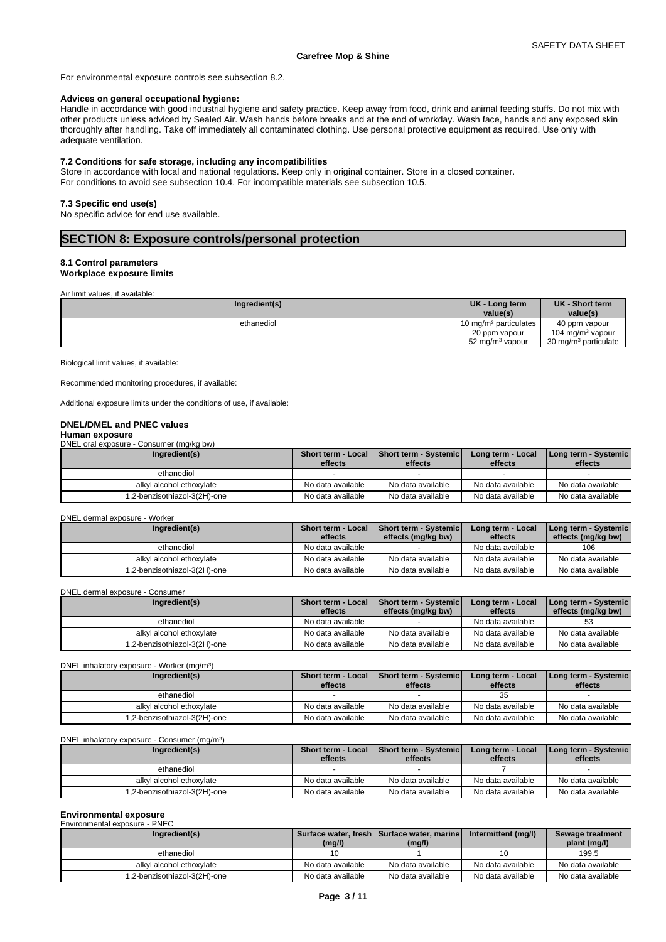For environmental exposure controls see subsection 8.2.

#### **Advices on general occupational hygiene:**

Handle in accordance with good industrial hygiene and safety practice. Keep away from food, drink and animal feeding stuffs. Do not mix with other products unless adviced by Sealed Air. Wash hands before breaks and at the end of workday. Wash face, hands and any exposed skin thoroughly after handling. Take off immediately all contaminated clothing. Use personal protective equipment as required. Use only with adequate ventilation.

### **7.2 Conditions for safe storage, including any incompatibilities**

Store in accordance with local and national regulations. Keep only in original container. Store in a closed container. For conditions to avoid see subsection 10.4. For incompatible materials see subsection 10.5.

#### **7.3 Specific end use(s)**

No specific advice for end use available.

# **SECTION 8: Exposure controls/personal protection**

#### **8.1 Control parameters**

## **Workplace exposure limits**

Air limit values, if available:

| Ingredient(s) | UK - Long term<br>value(s)        | UK - Short term<br>value(s)      |
|---------------|-----------------------------------|----------------------------------|
| ethanediol    | 10 mg/m <sup>3</sup> particulates | 40 ppm vapour                    |
|               | 20 ppm vapour                     | 104 mg/m <sup>3</sup> vapour     |
|               | 52 mg/m <sup>3</sup> vapour       | 30 mg/m <sup>3</sup> particulate |

Biological limit values, if available:

Recommended monitoring procedures, if available:

Additional exposure limits under the conditions of use, if available:

#### **DNEL/DMEL and PNEC values**

#### **Human exposure**

DNEL oral exposure - Consumer (mg/kg bw)

| Ingredient(s)                | <b>Short term - Local</b><br>effects | Short term - Systemic<br>effects | Long term - Local<br>effects | Long term - Systemic  <br>effects |
|------------------------------|--------------------------------------|----------------------------------|------------------------------|-----------------------------------|
| ethanediol                   |                                      |                                  |                              |                                   |
| alkyl alcohol ethoxylate     | No data available                    | No data available                | No data available            | No data available                 |
| 1,2-benzisothiazol-3(2H)-one | No data available                    | No data available                | No data available            | No data available                 |

#### DNEL dermal exposure - Worker

| Ingredient(s)                | Short term - Local<br>effects | <b>Short term - Systemic</b><br>effects (mg/kg bw) | Long term - Local<br>effects | Long term - Systemic  <br>effects (mg/kg bw) |
|------------------------------|-------------------------------|----------------------------------------------------|------------------------------|----------------------------------------------|
| ethanediol                   | No data available             |                                                    | No data available            | 106                                          |
| alkyl alcohol ethoxylate     | No data available             | No data available                                  | No data available            | No data available                            |
| -2-benzisothiazol-3(2H)-one. | No data available             | No data available                                  | No data available            | No data available                            |

#### DNEL dermal exposure - Consumer

| Ingredient(s)               | <b>Short term - Local</b> | Short term - Systemic | Long term - Local | Long term - Systemic |  |
|-----------------------------|---------------------------|-----------------------|-------------------|----------------------|--|
|                             | effects                   | effects (mg/kg bw)    | effects           | effects (mg/kg bw)   |  |
| ethanediol                  | No data available         |                       | No data available | 53                   |  |
| alkyl alcohol ethoxylate    | No data available         | No data available     | No data available | No data available    |  |
| .2-benzisothiazol-3(2H)-one | No data available         | No data available     | No data available | No data available    |  |

| DNEL inhalatory exposure - Worker (mg/m <sup>3</sup> ) |                    |                              |                   |                      |
|--------------------------------------------------------|--------------------|------------------------------|-------------------|----------------------|
| Ingredient(s)                                          | Short term - Local | <b>Short term - Systemic</b> | Long term - Local | Long term - Systemic |
|                                                        | effects            | effects                      | effects           | effects              |
| ethanediol                                             |                    |                              | 35                |                      |
| alkyl alcohol ethoxylate                               | No data available  | No data available            | No data available | No data available    |
| 1,2-benzisothiazol-3(2H)-one                           | No data available  | No data available            | No data available | No data available    |

#### DNEL inhalatory exposure - Consumer (mg/m<sup>3</sup>) )

| Ingredient(s)               | <b>Short term - Local</b> | <b>Short term - Systemic</b> | Long term - Local | Long term - Systemic |
|-----------------------------|---------------------------|------------------------------|-------------------|----------------------|
|                             | effects                   | effects                      | effects           | effects              |
| ethanediol                  |                           |                              |                   |                      |
| alkyl alcohol ethoxylate    | No data available         | No data available            | No data available | No data available    |
| .2-benzisothiazol-3(2H)-one | No data available         | No data available            | No data available | No data available    |

#### **Environmental exposure**

| Environmental exposure - PNEC |                   |                                                      |                     |                                  |
|-------------------------------|-------------------|------------------------------------------------------|---------------------|----------------------------------|
| Ingredient(s)                 | (mg/l)            | Surface water, fresh Surface water, marine<br>(mg/l) | Intermittent (mg/l) | Sewage treatment<br>plant (mg/l) |
| ethanediol                    | 10                |                                                      |                     | 199.5                            |
| alkyl alcohol ethoxylate      | No data available | No data available                                    | No data available   | No data available                |
| 1,2-benzisothiazol-3(2H)-one  | No data available | No data available                                    | No data available   | No data available                |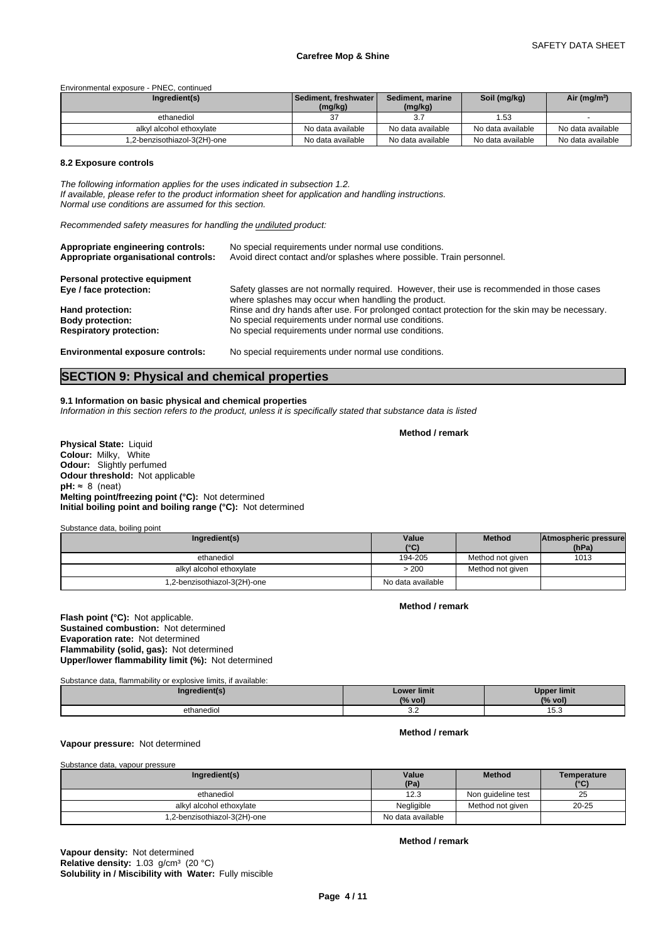Environmental exposure - PNEC, continued

| Ingredient(s)                | i Sediment. freshwater l<br>(mg/kg) | Sediment, marine<br>(mg/kg) | Soil (mg/kg)      | Air (mg/m <sup>3</sup> ) |
|------------------------------|-------------------------------------|-----------------------------|-------------------|--------------------------|
| ethanediol                   |                                     |                             | 1.53              |                          |
| alkvl alcohol ethoxvlate     | No data available                   | No data available           | No data available | No data available        |
| 1,2-benzisothiazol-3(2H)-one | No data available                   | No data available           | No data available | No data available        |

#### **8.2 Exposure controls**

*The following information applies for the uses indicated in subsection 1.2. If available, please refer to the product information sheet for application and handling instructions. Normal use conditions are assumed for this section.*

*Recommended safety measures for handling the undiluted product:*

| Appropriate engineering controls:<br>Appropriate organisational controls: | No special requirements under normal use conditions.<br>Avoid direct contact and/or splashes where possible. Train personnel.                     |
|---------------------------------------------------------------------------|---------------------------------------------------------------------------------------------------------------------------------------------------|
| Personal protective equipment                                             |                                                                                                                                                   |
| Eye / face protection:                                                    | Safety glasses are not normally required. However, their use is recommended in those cases<br>where splashes may occur when handling the product. |
| Hand protection:                                                          | Rinse and dry hands after use. For prolonged contact protection for the skin may be necessary.                                                    |
| <b>Body protection:</b>                                                   | No special requirements under normal use conditions.                                                                                              |
| <b>Respiratory protection:</b>                                            | No special requirements under normal use conditions.                                                                                              |

**Environmental exposure controls:** No special requirements under normal use conditions.

# **SECTION 9: Physical and chemical properties**

#### **9.1 Information on basic physical and chemical properties**

*Information in this section refers to the product, unless it is specifically stated that substance data is listed*

**Physical State:** Liquid **Colour:** Milky, White **Odour:** Slightly perfumed **Odour threshold:** Not applicable  $pH: \approx 8$  (neat) **Melting point/freezing point (°C):** Not determined **Initial boiling point and boiling range (°C):** Not determined

Substance data, boiling point

| Ingredient(s)                | Value<br>$(^{\circ}C)$ | <b>Method</b>    | Atmospheric pressure<br>(hPa) |  |
|------------------------------|------------------------|------------------|-------------------------------|--|
| ethanediol                   | 194-205                | Method not given | 1013                          |  |
| alkyl alcohol ethoxylate     | > 200                  | Method not given |                               |  |
| 1,2-benzisothiazol-3(2H)-one | No data available      |                  |                               |  |

**Method / remark**

**Method / remark**

**Flash point (°C):** Not applicable. **Sustained combustion:** Not determined **Evaporation rate:** Not determined **Flammability (solid, gas):** Not determined **Upper/lower flammability limit (%):** Not determined

Substance data, flammability or explosive limits, if available:

| redient(s  | <b>Lower limit</b> | <b>Upper limit</b> |
|------------|--------------------|--------------------|
| . .        | (% vol             | $\%$ vol.          |
| ethanediol | ے.ت                | ט.ט                |

#### **Method / remark**

# **Vapour pressure:** Not determined

Substance data, vapour pressure

| Ingredient(s)                | Value<br>(Pa)     | <b>Method</b>      | Temperature<br>(°C) |
|------------------------------|-------------------|--------------------|---------------------|
| ethanediol                   | 12.3              | Non quideline test | 25                  |
| alkyl alcohol ethoxylate     | Negligible        | Method not given   | $20 - 25$           |
| 1,2-benzisothiazol-3(2H)-one | No data available |                    |                     |

**Solubility in / Miscibility with Water:** Fully miscible **Vapour density:** Not determined **Relative density:** 1.03 g/cm<sup>3</sup> (20 °C)

**Method / remark**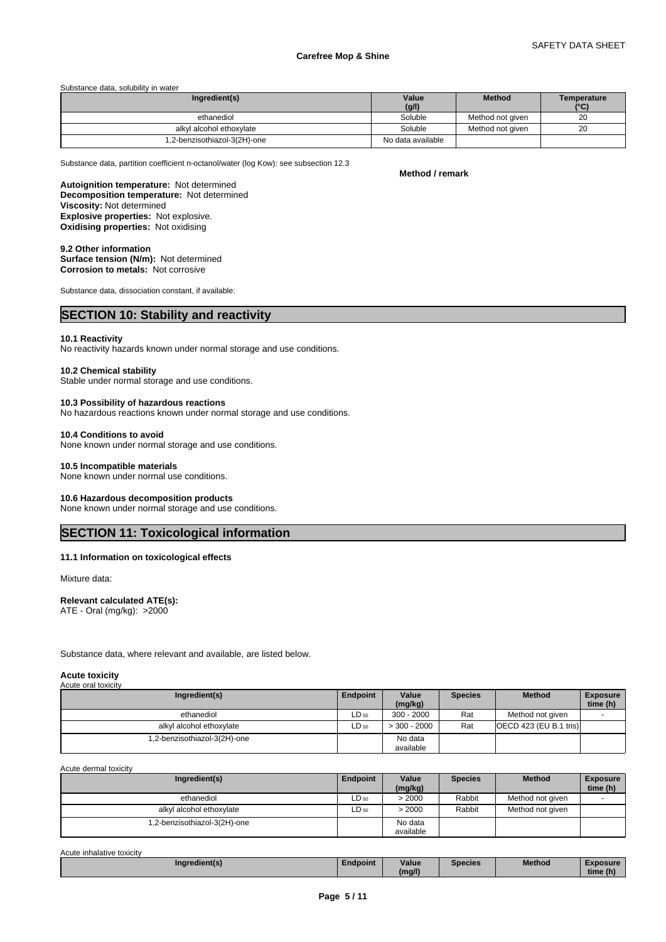#### Substance data, solubility in water

| Ingredient(s)                | Value             | <b>Method</b>    | Temperature   |
|------------------------------|-------------------|------------------|---------------|
|                              | (g/l)             |                  | $(^{\circ}C)$ |
| ethanediol                   | Soluble           | Method not given | 20            |
| alkyl alcohol ethoxylate     | Soluble           | Method not given | 20            |
| 1,2-benzisothiazol-3(2H)-one | No data available |                  |               |

Substance data, partition coefficient n-octanol/water (log Kow): see subsection 12.3

#### **Method / remark**

**Decomposition temperature:** Not determined **Autoignition temperature:** Not determined **Viscosity:** Not determined **Explosive properties:** Not explosive. **Oxidising properties:** Not oxidising

**9.2 Other information Surface tension (N/m):** Not determined **Corrosion to metals:** Not corrosive

Substance data, dissociation constant, if available:

# **SECTION 10: Stability and reactivity**

### **10.1 Reactivity**

No reactivity hazards known under normal storage and use conditions.

#### **10.2 Chemical stability**

Stable under normal storage and use conditions.

#### **10.3 Possibility of hazardous reactions**

No hazardous reactions known under normal storage and use conditions.

#### **10.4 Conditions to avoid**

None known under normal storage and use conditions.

#### **10.5 Incompatible materials**

None known under normal use conditions.

#### **10.6 Hazardous decomposition products**

None known under normal storage and use conditions.

# **SECTION 11: Toxicological information**

### **11.1 Information on toxicological effects**

Mixture data:

## **Relevant calculated ATE(s):**

ATE - Oral (mg/kg): >2000

Substance data, where relevant and available, are listed below.

#### **Acute toxicity** Acute oral toxicity

| watu oran toxioity          |           |                      |                |                          |                             |
|-----------------------------|-----------|----------------------|----------------|--------------------------|-----------------------------|
| Ingredient(s)               | Endpoint  | Value<br>(mg/kg)     | <b>Species</b> | <b>Method</b>            | <b>Exposure</b><br>time (h) |
| ethanediol                  | $LD_{50}$ | $300 - 2000$         | Rat            | Method not given         |                             |
| alkyl alcohol ethoxylate    | $LD_{50}$ | $>$ 300 - 2000       | Rat            | [OECD 423 (EU B.1 tris)] |                             |
| .2-benzisothiazol-3(2H)-one |           | No data<br>available |                |                          |                             |

Acute dermal toxicity

| Ingredient(s)                | <b>Endpoint</b> | Value<br>(mg/kg) | <b>Species</b> | <b>Method</b>    | <b>Exposure</b><br>time (h) |
|------------------------------|-----------------|------------------|----------------|------------------|-----------------------------|
| ethanediol                   | $LD_{50}$       | >2000            | Rabbit         | Method not given |                             |
| alkyl alcohol ethoxylate     | $LD_{50}$       | > 2000           | Rabbit         | Method not given |                             |
| 1,2-benzisothiazol-3(2H)-one |                 | No data          |                |                  |                             |
|                              |                 | available        |                |                  |                             |

| Acute inhalative toxicity |               |          |        |                |               |                 |
|---------------------------|---------------|----------|--------|----------------|---------------|-----------------|
|                           | Ingredient(s) | Endpoint | Value  | <b>Species</b> | <b>Method</b> | <b>Exposure</b> |
|                           |               |          | (mg/l) |                |               | time (h)        |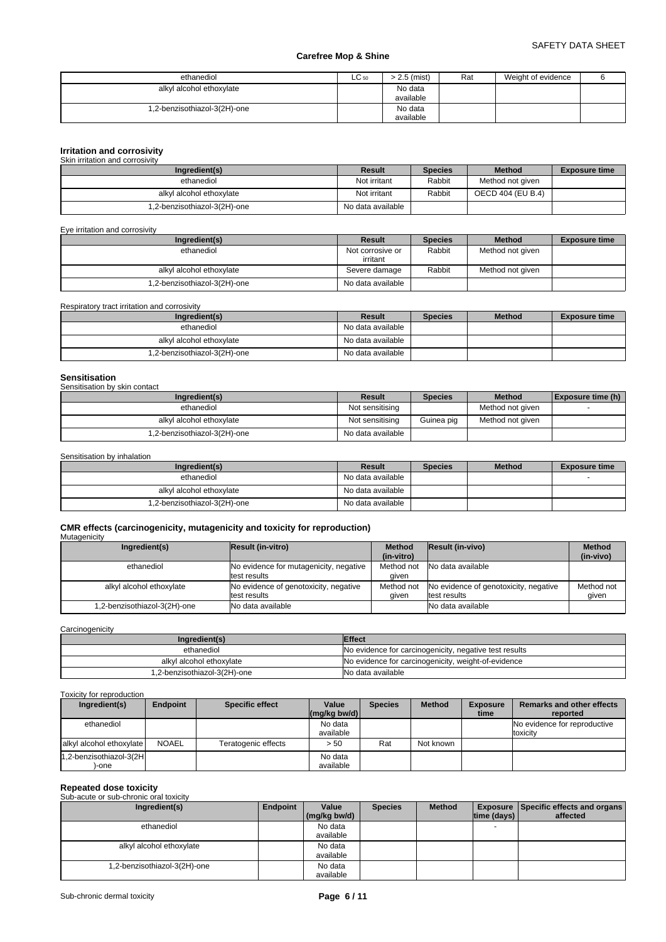| ethanediol                   | $LC_{50}$ | > 2.5 (mist)         | Rat | Weight of evidence |  |
|------------------------------|-----------|----------------------|-----|--------------------|--|
| alkyl alcohol ethoxylate     |           | No data<br>available |     |                    |  |
| 1,2-benzisothiazol-3(2H)-one |           | No data<br>available |     |                    |  |

# **Irritation and corrosivity** Skin irritation and corrosivity

| <u>UNILI ILINGNULL GINI UULLUSIVIN</u> |                   |                |                   |                      |  |  |  |
|----------------------------------------|-------------------|----------------|-------------------|----------------------|--|--|--|
| Ingredient(s)                          | Result            | <b>Species</b> | <b>Method</b>     | <b>Exposure time</b> |  |  |  |
| ethanediol                             | Not irritant      | Rabbit         | Method not given  |                      |  |  |  |
| alkyl alcohol ethoxylate               | Not irritant      | Rabbit         | OECD 404 (EU B.4) |                      |  |  |  |
| 1,2-benzisothiazol-3(2H)-one           | No data available |                |                   |                      |  |  |  |

Eye irritation and corrosivity

| Ingredient(s)                | Result                       | <b>Species</b> | <b>Method</b>    | <b>Exposure time</b> |
|------------------------------|------------------------------|----------------|------------------|----------------------|
| ethanediol                   | Not corrosive or<br>irritant | Rabbit         | Method not given |                      |
|                              |                              |                |                  |                      |
| alkyl alcohol ethoxylate     | Severe damage                | Rabbit         | Method not given |                      |
| 1,2-benzisothiazol-3(2H)-one | No data available            |                |                  |                      |

Respiratory tract irritation and corrosivity

| Ingredient(s)                | Result            | <b>Species</b> | <b>Method</b> | <b>Exposure time</b> |
|------------------------------|-------------------|----------------|---------------|----------------------|
| ethanediol                   | No data available |                |               |                      |
| alkyl alcohol ethoxylate     | No data available |                |               |                      |
| 1,2-benzisothiazol-3(2H)-one | No data available |                |               |                      |

| <b>Sensitisation</b>          |                   |                |                  |                   |
|-------------------------------|-------------------|----------------|------------------|-------------------|
| Sensitisation by skin contact |                   |                |                  |                   |
| Ingredient(s)                 | <b>Result</b>     | <b>Species</b> | <b>Method</b>    | Exposure time (h) |
| ethanediol                    | Not sensitising   |                | Method not given |                   |
| alkyl alcohol ethoxylate      | Not sensitising   | Guinea pig     | Method not given |                   |
| 1,2-benzisothiazol-3(2H)-one  | No data available |                |                  |                   |

Sensitisation by inhalation

| Ingredient(s)                | Result            | <b>Species</b> | <b>Method</b> | <b>Exposure time</b> |
|------------------------------|-------------------|----------------|---------------|----------------------|
| ethanediol                   | No data available |                |               |                      |
| alkyl alcohol ethoxylate     | No data available |                |               |                      |
| 1,2-benzisothiazol-3(2H)-one | No data available |                |               |                      |

#### **CMR effects (carcinogenicity, mutagenicity and toxicity for reproduction) Mutagenicity**

| Ingredient(s)               | Result (in-vitro)                      | <b>Method</b> | <b>Result (in-vivo)</b>               | <b>Method</b> |
|-----------------------------|----------------------------------------|---------------|---------------------------------------|---------------|
|                             |                                        | (in-vitro)    |                                       | (in-vivo)     |
| ethanediol                  | No evidence for mutagenicity, negative | Method not    | No data available                     |               |
|                             | test results                           | aiven         |                                       |               |
| alkyl alcohol ethoxylate    | No evidence of genotoxicity, negative  | Method not    | No evidence of genotoxicity, negative | Method not    |
|                             | test results                           | aiven         | test results                          | aiven         |
| .2-benzisothiazol-3(2H)-one | No data available                      |               | No data available                     |               |
|                             |                                        |               |                                       |               |

**Carcinogenicity** 

| Ingredient(s)                | <b>Effect</b>                                          |
|------------------------------|--------------------------------------------------------|
| ethanediol                   | No evidence for carcinogenicity, negative test results |
| alkyl alcohol ethoxylate     | No evidence for carcinogenicity, weight-of-evidence    |
| 1.2-benzisothiazol-3(2H)-one | No data available                                      |

#### Toxicity for reproduction

| Ingredient(s)            | <b>Endpoint</b> | <b>Specific effect</b> | Value          | <b>Species</b> | <b>Method</b> | <b>Exposure</b> | Remarks and other effects    |
|--------------------------|-----------------|------------------------|----------------|----------------|---------------|-----------------|------------------------------|
|                          |                 |                        | $(mq/kg$ bw/d) |                |               | time            | reported                     |
| ethanediol               |                 |                        | No data        |                |               |                 | No evidence for reproductive |
|                          |                 |                        | available      |                |               |                 | toxicity                     |
| alkyl alcohol ethoxylate | <b>NOAEL</b>    | Teratogenic effects    | > 50           | Rat            | Not known     |                 |                              |
| 1,2-benzisothiazol-3(2H  |                 |                        | No data        |                |               |                 |                              |
| -one                     |                 |                        | available      |                |               |                 |                              |

# **Repeated dose toxicity** Sub-acute or sub-chronic oral toxicity

| <b>Sup-active Of Sup-Chronic Oral toxicity</b> |          |              |                |               |                    |                                             |
|------------------------------------------------|----------|--------------|----------------|---------------|--------------------|---------------------------------------------|
| Ingredient(s)                                  | Endpoint | Value        | <b>Species</b> | <b>Method</b> |                    | <b>Exposure Specific effects and organs</b> |
|                                                |          | (mg/kg bw/d) |                |               | $ time$ (days) $ $ | affected                                    |
| ethanediol                                     |          | No data      |                |               |                    |                                             |
|                                                |          | available    |                |               |                    |                                             |
| alkyl alcohol ethoxylate                       |          | No data      |                |               |                    |                                             |
|                                                |          | available    |                |               |                    |                                             |
| 1,2-benzisothiazol-3(2H)-one                   |          | No data      |                |               |                    |                                             |
|                                                |          | available    |                |               |                    |                                             |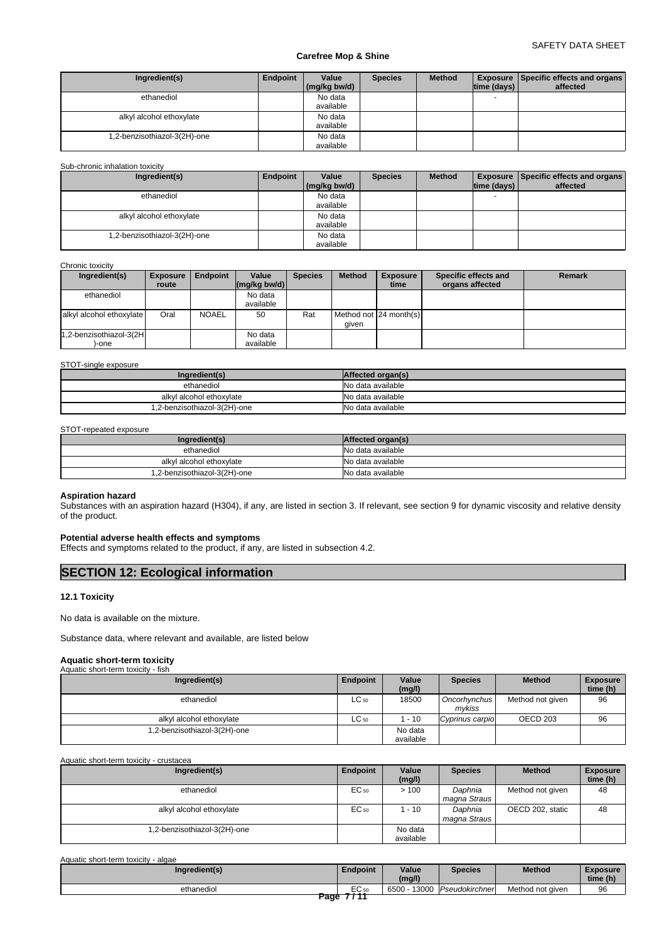| Ingredient(s)               | Endpoint | Value<br>(mg/kg bw/d) | <b>Species</b> | <b>Method</b> | time (days)              | <b>Exposure   Specific effects and organs  </b><br>affected |
|-----------------------------|----------|-----------------------|----------------|---------------|--------------------------|-------------------------------------------------------------|
| ethanediol                  |          | No data               |                |               | $\overline{\phantom{0}}$ |                                                             |
|                             |          | available             |                |               |                          |                                                             |
| alkyl alcohol ethoxylate    |          | No data               |                |               |                          |                                                             |
|                             |          | available             |                |               |                          |                                                             |
| -2-benzisothiazol-3(2H)-one |          | No data               |                |               |                          |                                                             |
|                             |          | available             |                |               |                          |                                                             |

Sub-chronic inhalation toxicity

| Ingredient(s)                | Endpoint | Value        | <b>Species</b> | <b>Method</b> |                          | <b>Exposure Specific effects and organs</b> |
|------------------------------|----------|--------------|----------------|---------------|--------------------------|---------------------------------------------|
|                              |          | (mg/kg bw/d) |                |               | time (days)              | affected                                    |
| ethanediol                   |          | No data      |                |               | $\overline{\phantom{0}}$ |                                             |
|                              |          | available    |                |               |                          |                                             |
| alkyl alcohol ethoxylate     |          | No data      |                |               |                          |                                             |
|                              |          | available    |                |               |                          |                                             |
| 1,2-benzisothiazol-3(2H)-one |          | No data      |                |               |                          |                                             |
|                              |          | available    |                |               |                          |                                             |

#### Chronic toxicity

| Ingredient(s)            | <b>Exposure</b> | <b>Endpoint</b> | Value                                                   | <b>Species</b> | <b>Method</b> | <b>Exposure</b>          | Specific effects and | <b>Remark</b> |
|--------------------------|-----------------|-----------------|---------------------------------------------------------|----------------|---------------|--------------------------|----------------------|---------------|
|                          | route           |                 | $\left \frac{\text{mg}}{\text{kg}}\right $ (mg/kg bw/d) |                |               | time                     | organs affected      |               |
| ethanediol               |                 |                 | No data                                                 |                |               |                          |                      |               |
|                          |                 |                 | available                                               |                |               |                          |                      |               |
| alkyl alcohol ethoxylate | Oral            | <b>NOAEL</b>    | 50                                                      | Rat            |               | Method not I24 month(s)I |                      |               |
|                          |                 |                 |                                                         |                | aiven         |                          |                      |               |
| 1,2-benzisothiazol-3(2H  |                 |                 | No data                                                 |                |               |                          |                      |               |
| )-one                    |                 |                 | available                                               |                |               |                          |                      |               |

#### STOT-single exposure

| Ingredient(s)                | Affected organ(s) |
|------------------------------|-------------------|
| ethanediol                   | No data available |
| alkyl alcohol ethoxylate     | No data available |
| 1,2-benzisothiazol-3(2H)-one | No data available |

#### STOT-repeated exposure

| Ingredient(s)                | Affected organ(s) |
|------------------------------|-------------------|
| ethanediol                   | No data available |
| alkyl alcohol ethoxylate     | No data available |
| 1,2-benzisothiazol-3(2H)-one | No data available |

### **Aspiration hazard**

Substances with an aspiration hazard (H304), if any, are listed in section 3. If relevant, see section 9 for dynamic viscosity and relative density of the product.

#### **Potential adverse health effects and symptoms**

Effects and symptoms related to the product, if any, are listed in subsection 4.2.

# **SECTION 12: Ecological information**

#### **12.1 Toxicity**

No data is available on the mixture.

Substance data, where relevant and available, are listed below

# **Aquatic short-term toxicity** Aquatic short-term toxicity - fish

| .                            |           |                      |                        |                     |                             |
|------------------------------|-----------|----------------------|------------------------|---------------------|-----------------------------|
| Ingredient(s)                | Endpoint  | Value<br>(mg/l)      | <b>Species</b>         | <b>Method</b>       | <b>Exposure</b><br>time (h) |
| ethanediol                   | $LC_{50}$ | 18500                | Oncorhynchus<br>mvkiss | Method not given    | 96                          |
| alkyl alcohol ethoxylate     | $LC_{50}$ | 1 - 10               | Cyprinus carpio        | OECD <sub>203</sub> | 96                          |
| 1,2-benzisothiazol-3(2H)-one |           | No data<br>available |                        |                     |                             |

Aquatic short-term toxicity - crustacea

| ______                      |                  |                      |                         |                  |                             |
|-----------------------------|------------------|----------------------|-------------------------|------------------|-----------------------------|
| Ingredient(s)               | Endpoint         | Value<br>(mg/l)      | <b>Species</b>          | <b>Method</b>    | <b>Exposure</b><br>time (h) |
| ethanediol                  | EC <sub>50</sub> | >100                 | Daphnia<br>magna Straus | Method not given | 48                          |
| alkyl alcohol ethoxylate    | EC 50            | 1 - 10               | Daphnia<br>magna Straus | OECD 202, static | 48                          |
| .2-benzisothiazol-3(2H)-one |                  | No data<br>available |                         |                  |                             |

| Aquatic short-term toxicity - algae |                 |                 |                |                  |                             |
|-------------------------------------|-----------------|-----------------|----------------|------------------|-----------------------------|
| Ingredient(s)                       | <b>Endpoint</b> | Value<br>(mg/l) | <b>Species</b> | <b>Method</b>    | <b>Exposure</b><br>time (h) |
| ethanediol                          | EC 50           | 6500 - 13000    | Pseudokirchner | Method not given | 96                          |
|                                     | Page 7711       |                 |                |                  |                             |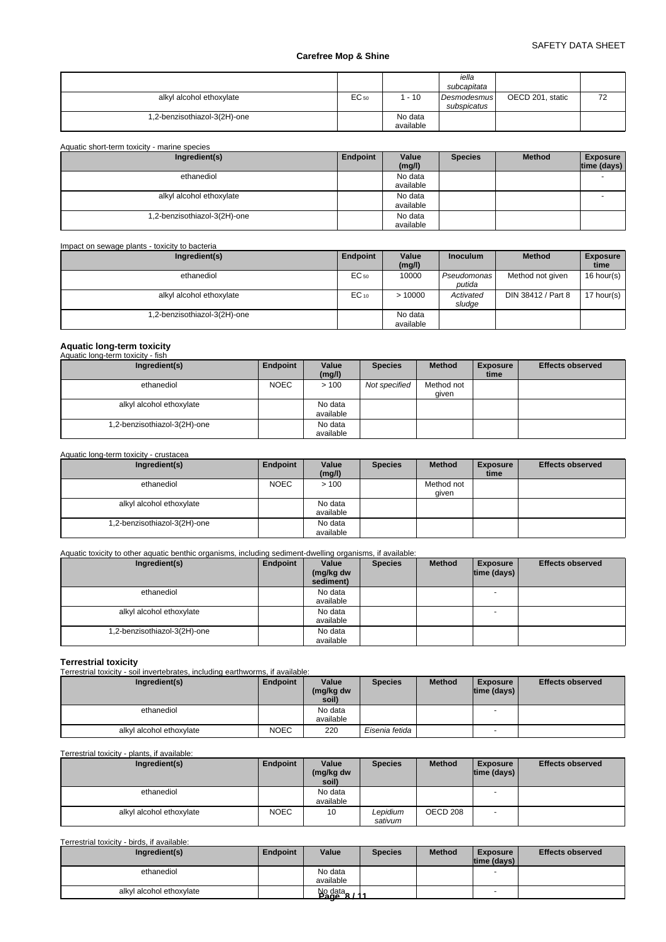| alkyl alcohol ethoxylate     | EC 50 | $-10$     | iella<br>subcapitata<br>Desmodesmus<br>subspicatus | OECD 201, static | 72 |
|------------------------------|-------|-----------|----------------------------------------------------|------------------|----|
| 1,2-benzisothiazol-3(2H)-one |       | No data   |                                                    |                  |    |
|                              |       | available |                                                    |                  |    |

| Aquatic short-term toxicity - marine species |          |                      |                |               |                                |
|----------------------------------------------|----------|----------------------|----------------|---------------|--------------------------------|
| Ingredient(s)                                | Endpoint | Value<br>(mg/l)      | <b>Species</b> | <b>Method</b> | <b>Exposure</b><br>time (days) |
| ethanediol                                   |          | No data<br>available |                |               |                                |
| alkyl alcohol ethoxylate                     |          | No data<br>available |                |               |                                |
| ,2-benzisothiazol-3(2H)-one                  |          | No data<br>available |                |               |                                |

Impact on sewage plants - toxicity to bacteria

| Ingredient(s)                | Endpoint  | Value     | <b>Inoculum</b>    | <b>Method</b>      | <b>Exposure</b><br>time |
|------------------------------|-----------|-----------|--------------------|--------------------|-------------------------|
|                              |           | (mg/l)    |                    |                    |                         |
| ethanediol                   | EC 50     | 10000     | <b>Pseudomonas</b> | Method not given   | 16 hour(s) $\vert$      |
|                              |           |           | putida             |                    |                         |
|                              |           |           |                    |                    |                         |
| alkyl alcohol ethoxylate     | $EC_{10}$ | >10000    | Activated          | DIN 38412 / Part 8 | 17 hour(s) $\vert$      |
|                              |           |           | sludge             |                    |                         |
| 1,2-benzisothiazol-3(2H)-one |           | No data   |                    |                    |                         |
|                              |           | available |                    |                    |                         |

# **Aquatic long-term toxicity** Aquatic long-term toxicity - fish

| Ingredient(s)                | Endpoint    | Value<br>(mg/l)      | <b>Species</b> | <b>Method</b>       | <b>Exposure</b><br>time | <b>Effects observed</b> |
|------------------------------|-------------|----------------------|----------------|---------------------|-------------------------|-------------------------|
| ethanediol                   | <b>NOEC</b> | >100                 | Not specified  | Method not<br>given |                         |                         |
| alkyl alcohol ethoxylate     |             | No data<br>available |                |                     |                         |                         |
| 1,2-benzisothiazol-3(2H)-one |             | No data<br>available |                |                     |                         |                         |

#### Aquatic long-term toxicity - crustacea

| Ingredient(s)                | Endpoint    | Value<br>(mg/l)      | <b>Species</b> | <b>Method</b>       | <b>Exposure</b><br>time | <b>Effects observed</b> |
|------------------------------|-------------|----------------------|----------------|---------------------|-------------------------|-------------------------|
| ethanediol                   | <b>NOEC</b> | >100                 |                | Method not<br>qiven |                         |                         |
| alkyl alcohol ethoxylate     |             | No data<br>available |                |                     |                         |                         |
| 1,2-benzisothiazol-3(2H)-one |             | No data<br>available |                |                     |                         |                         |

# Aquatic toxicity to other aquatic benthic organisms, including sediment-dwelling organisms, if available:

| Ingredient(s)               | Endpoint | Value<br>(mg/kg dw | <b>Species</b> | <b>Method</b> | <b>Exposure</b><br> time (days) | <b>Effects observed</b> |
|-----------------------------|----------|--------------------|----------------|---------------|---------------------------------|-------------------------|
|                             |          | sediment)          |                |               |                                 |                         |
| ethanediol                  |          | No data            |                |               | $\sim$                          |                         |
|                             |          | available          |                |               |                                 |                         |
| alkyl alcohol ethoxylate    |          | No data            |                |               |                                 |                         |
|                             |          | available          |                |               |                                 |                         |
| -2-benzisothiazol-3(2H)-one |          | No data            |                |               |                                 |                         |
|                             |          | available          |                |               |                                 |                         |

**Terrestrial toxicity** Terrestrial toxicity - soil invertebrates, including earthworms, if available:

| Ingredient(s)            | <b>Endpoint</b> | Value<br>(mg/kg dw<br>soil) | <b>Species</b> | <b>Method</b> | <b>Exposure</b><br>$ time$ (days) $ $ | <b>Effects observed</b> |
|--------------------------|-----------------|-----------------------------|----------------|---------------|---------------------------------------|-------------------------|
| ethanediol               |                 | No data<br>available        |                |               | $\overline{\phantom{a}}$              |                         |
| alkyl alcohol ethoxylate | <b>NOEC</b>     | 220                         | Eisenia fetida |               |                                       |                         |

#### Terrestrial toxicity - plants, if available:

| Ingredient(s)                               | Endpoint    | Value<br>(mg/kg dw<br>soil) | <b>Species</b>      | <b>Method</b> | <b>Exposure</b><br> time (days) | <b>Effects observed</b> |
|---------------------------------------------|-------------|-----------------------------|---------------------|---------------|---------------------------------|-------------------------|
| ethanediol                                  |             | No data<br>available        |                     |               | $\overline{\phantom{a}}$        |                         |
| alkyl alcohol ethoxylate                    | <b>NOEC</b> | 10                          | Lepidium<br>sativum | OECD 208      |                                 |                         |
| Terrestrial toxicity - birds, if available: |             |                             |                     |               |                                 |                         |

| Ingredient(s)            | Endpoint | Value                  | <b>Species</b> | <b>Method</b> | <b>Exposure</b><br> time (days) | <b>Effects observed</b> |
|--------------------------|----------|------------------------|----------------|---------------|---------------------------------|-------------------------|
| ethanediol               |          | No data                |                |               | -                               |                         |
|                          |          | available              |                |               |                                 |                         |
| alkyl alcohol ethoxylate |          | No data<br>744<br>Рапе |                |               |                                 |                         |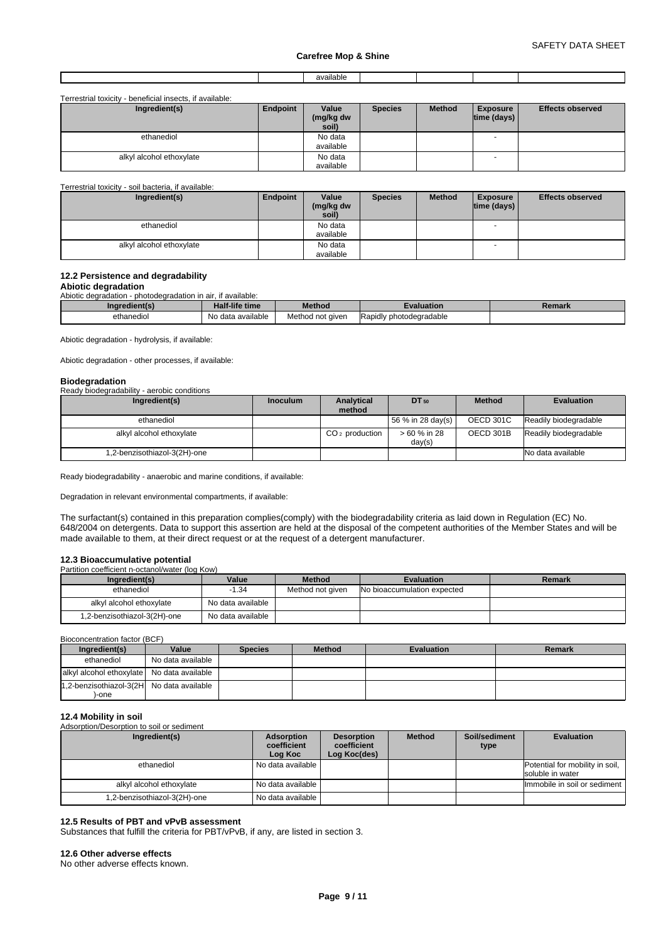|  | - -<br>$\sim$<br>allable<br>. |  |  |
|--|-------------------------------|--|--|
|  |                               |  |  |

Terrestrial toxicity - beneficial insects, if available:

| Ingredient(s)            | Endpoint | Value<br>(mg/kg dw<br>soil) | <b>Species</b> | <b>Method</b> | <b>Exposure</b><br>$ time$ (days) $ $ | <b>Effects observed</b> |
|--------------------------|----------|-----------------------------|----------------|---------------|---------------------------------------|-------------------------|
| ethanediol               |          | No data<br>available        |                |               |                                       |                         |
| alkyl alcohol ethoxylate |          | No data<br>available        |                |               | $\overline{\phantom{a}}$              |                         |

Terrestrial toxicity - soil bacteria, if available:

| Ingredient(s)            | Endpoint | Value<br>(mg/kg dw<br>soil) | <b>Species</b> | <b>Method</b> | <b>Exposure</b><br> time (days) | <b>Effects observed</b> |
|--------------------------|----------|-----------------------------|----------------|---------------|---------------------------------|-------------------------|
| ethanediol               |          | No data                     |                |               | $\overline{\phantom{a}}$        |                         |
|                          |          | available                   |                |               |                                 |                         |
| alkyl alcohol ethoxylate |          | No data                     |                |               | $\overline{\phantom{a}}$        |                         |
|                          |          | available                   |                |               |                                 |                         |

# **12.2 Persistence and degradability**

#### **Abiotic degradation** Abiotic degradation - photodegradation in air, if available:

| wiviiv uculuudilon<br><u>DINGUCULUQUUNI III UII. II UVUIIUDIG.</u> |                       |                  |                                |        |
|--------------------------------------------------------------------|-----------------------|------------------|--------------------------------|--------|
| Ingredient(s)                                                      | <b>Half-life time</b> | <b>Method</b>    | :valuation                     | Remark |
| ethanedio                                                          | No data available     | Method not given | <b>Rapidly photodegradable</b> |        |

Abiotic degradation - hydrolysis, if available:

Abiotic degradation - other processes, if available:

### **Biodegradation**

| _<br>Ready biodegradability - aerobic conditions |                 |                      |                        |                  |                       |
|--------------------------------------------------|-----------------|----------------------|------------------------|------------------|-----------------------|
| Ingredient(s)                                    | <b>Inoculum</b> | Analytical<br>method | DT 50                  | <b>Method</b>    | <b>Evaluation</b>     |
| ethanediol                                       |                 |                      | $156%$ in 28 day(s)    | <b>OECD 301C</b> | Readily biodegradable |
| alkyl alcohol ethoxylate                         |                 | $CO2$ production     | > 60 % in 28<br>day(s) | OECD 301B        | Readily biodegradable |
| .2-benzisothiazol-3(2H)-one                      |                 |                      |                        |                  | No data available     |

Ready biodegradability - anaerobic and marine conditions, if available:

Degradation in relevant environmental compartments, if available:

The surfactant(s) contained in this preparation complies(comply) with the biodegradability criteria as laid down in Regulation (EC) No. 648/2004 on detergents. Data to support this assertion are held at the disposal of the competent authorities of the Member States and will be made available to them, at their direct request or at the request of a detergent manufacturer.

# **12.3 Bioaccumulative potential**<br>Partition coefficient n-octanol/water (log Kow)

| Ingredient(s)                | Value             | <b>Method</b>    | <b>Evaluation</b>           | <b>Remark</b> |
|------------------------------|-------------------|------------------|-----------------------------|---------------|
| ethanediol                   | -1.34             | Method not given | No bioaccumulation expected |               |
| alkyl alcohol ethoxylate     | No data available |                  |                             |               |
| 1,2-benzisothiazol-3(2H)-one | No data available |                  |                             |               |

Bioconcentration factor (BCF)

| Ingredient(s)                              | Value             | <b>Species</b> | <b>Method</b> | <b>Evaluation</b> | Remark |
|--------------------------------------------|-------------------|----------------|---------------|-------------------|--------|
| ethanediol                                 | No data available |                |               |                   |        |
| alkyl alcohol ethoxylate No data available |                   |                |               |                   |        |
| 1,2-benzisothiazol-3(2H No data available  |                   |                |               |                   |        |
| -one                                       |                   |                |               |                   |        |

# **12.4 Mobility in soil**

| Adsorption/Desorption to soil or sediment |                  |                  |        |                           |  |
|-------------------------------------------|------------------|------------------|--------|---------------------------|--|
| Ingredient(s)                             | Adsorption<br>$$ | Desorption<br>$$ | Method | Soil/sediment<br>$\cdots$ |  |

| Ingredient(s)                | Adsorption<br>coefficient<br>Log Koc | <b>Desorption</b><br>coefficient<br>Log Koc(des) | <b>Method</b> | Soil/sediment<br>type | <b>Evaluation</b>                                   |
|------------------------------|--------------------------------------|--------------------------------------------------|---------------|-----------------------|-----------------------------------------------------|
| ethanediol                   | No data available                    |                                                  |               |                       | Potential for mobility in soil,<br>soluble in water |
| alkyl alcohol ethoxylate     | No data available                    |                                                  |               |                       | Immobile in soil or sediment                        |
| 1,2-benzisothiazol-3(2H)-one | No data available                    |                                                  |               |                       |                                                     |

#### **12.5 Results of PBT and vPvB assessment**

Substances that fulfill the criteria for PBT/vPvB, if any, are listed in section 3.

#### **12.6 Other adverse effects**

No other adverse effects known.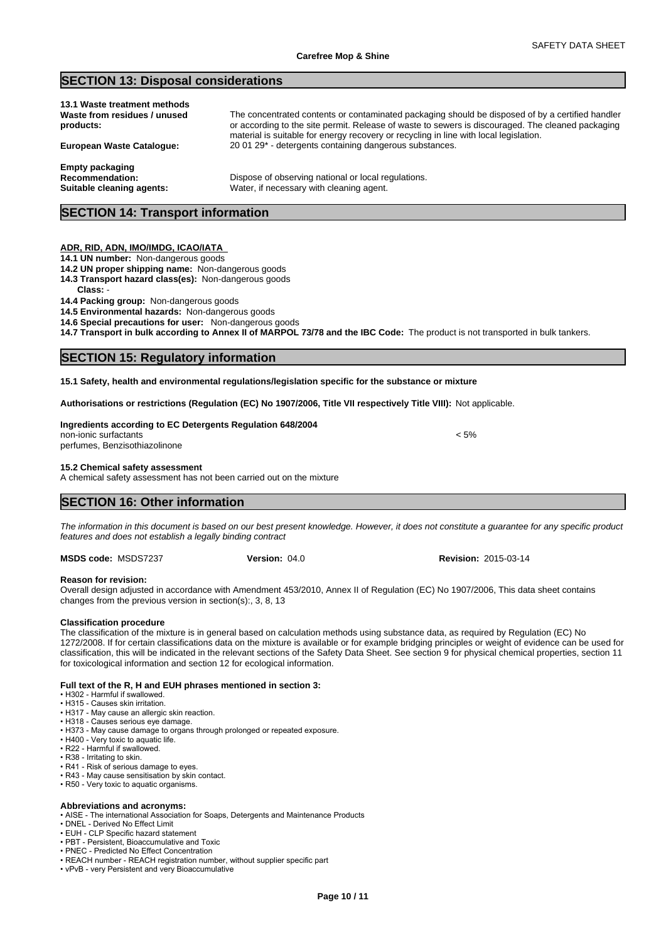# **SECTION 13: Disposal considerations**

| 13.1 Waste treatment methods<br>Waste from residues / unused<br>products:     | The concentrated contents or contaminated packaging should be disposed of by a certified handler<br>or according to the site permit. Release of waste to sewers is discouraged. The cleaned packaging<br>material is suitable for energy recovery or recycling in line with local legislation. |  |
|-------------------------------------------------------------------------------|------------------------------------------------------------------------------------------------------------------------------------------------------------------------------------------------------------------------------------------------------------------------------------------------|--|
| <b>European Waste Catalogue:</b>                                              | 20 01 29* - detergents containing dangerous substances.                                                                                                                                                                                                                                        |  |
| <b>Empty packaging</b><br><b>Recommendation:</b><br>Suitable cleaning agents: | Dispose of observing national or local regulations.<br>Water, if necessary with cleaning agent.                                                                                                                                                                                                |  |
| <b>SECTION 14: Transport information</b>                                      |                                                                                                                                                                                                                                                                                                |  |

#### **ADR, RID, ADN, IMO/IMDG, ICAO/IATA**

- **14.1 UN number:** Non-dangerous goods
- **14.2 UN proper shipping name:** Non-dangerous goods
- **14.3 Transport hazard class(es):** Non-dangerous goods
- **Class:** -

#### **14.4 Packing group:** Non-dangerous goods

**14.5 Environmental hazards:** Non-dangerous goods

**14.6 Special precautions for user:** Non-dangerous goods

**14.7 Transport in bulk according to Annex II of MARPOL 73/78 and the IBC Code:** The product is not transported in bulk tankers.

# **SECTION 15: Regulatory information**

**15.1 Safety, health and environmental regulations/legislation specific for the substance or mixture**

**Authorisations or restrictions (Regulation (EC) No 1907/2006, Title VII respectively Title VIII):** Not applicable.

#### **Ingredients according to EC Detergents Regulation 648/2004** non-ionic surfactants < 5%

perfumes, Benzisothiazolinone

#### **15.2 Chemical safety assessment**

A chemical safety assessment has not been carried out on the mixture

# **SECTION 16: Other information**

*The information in this document is based on our best present knowledge. However, it does not constitute a guarantee for any specific product features and does not establish a legally binding contract*

**MSDS code:** MSDS7237

#### **Reason for revision:**

Overall design adjusted in accordance with Amendment 453/2010, Annex II of Regulation (EC) No 1907/2006, This data sheet contains changes from the previous version in section(s):, 3, 8, 13

#### **Classification procedure**

The classification of the mixture is in general based on calculation methods using substance data, as required by Regulation (EC) No 1272/2008. If for certain classifications data on the mixture is available or for example bridging principles or weight of evidence can be used for classification, this will be indicated in the relevant sections of the Safety Data Sheet. See section 9 for physical chemical properties, section 11 for toxicological information and section 12 for ecological information.

#### **Full text of the R, H and EUH phrases mentioned in section 3:**

- •H302-Harmfulifswallowed.
- H315 Causes skin irritation.
- H317 May cause an allergic skin reaction. • H318 - Causes serious eye damage
- H373 May cause damage to organs through prolonged or repeated exposure.
- H400 Very toxic to aquatic life.
- R22 Harmful if swallowed.
- R38 Irritating to skin.
- R41 Risk of serious damage to eyes.
- R43 May cause sensitisation by skin contact.
- R50 Very toxic to aquatic organisms.

#### **Abbreviations and acronyms:**

• AISE - The international Association for Soaps, Detergents and Maintenance Products

- DNEL Derived No Effect Limit
- EUH CLP Specific hazard statement • PBT - Persistent, Bioaccumulative and Toxic
- PNEC Predicted No Effect Concentration
- REACH number REACH registration number, without supplier specific part
- vPvB very Persistent and very Bioaccumulative

**Version:** 04.0 **Revision:** 2015-03-14